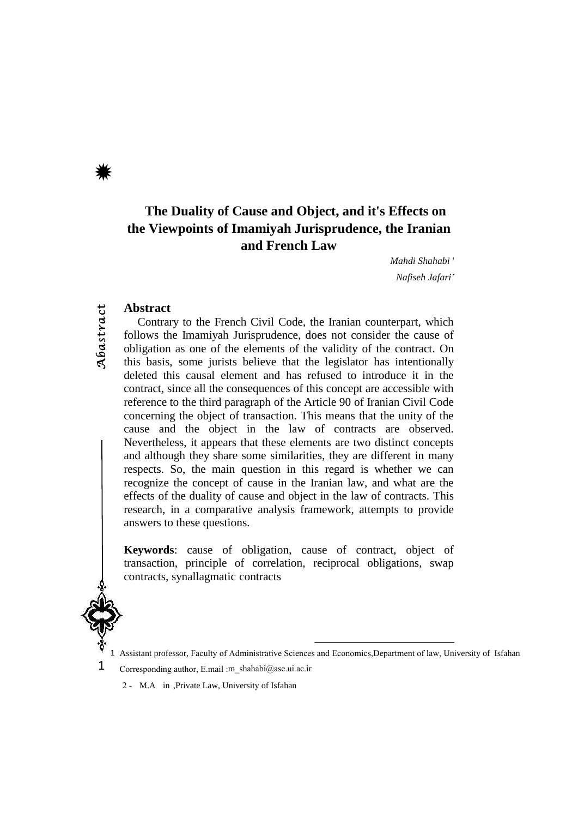Abastract

# **The Duality of Cause and Object, and it's Effects on the Viewpoints of Imamiyah Jurisprudence, the Iranian and French Law**

*Mahdi Shahabi* <sup>1</sup> *Nafiseh Jafari*<sup>2</sup>

#### **Abstract**

Contrary to the French Civil Code, the Iranian counterpart, which follows the Imamiyah Jurisprudence, does not consider the cause of obligation as one of the elements of the validity of the contract. On this basis, some jurists believe that the legislator has intentionally deleted this causal element and has refused to introduce it in the contract, since all the consequences of this concept are accessible with reference to the third paragraph of the Article 90 of Iranian Civil Code concerning the object of transaction. This means that the unity of the cause and the object in the law of contracts are observed. Nevertheless, it appears that these elements are two distinct concepts and although they share some similarities, they are different in many respects. So, the main question in this regard is whether we can recognize the concept of cause in the Iranian law, and what are the effects of the duality of cause and object in the law of contracts. This research, in a comparative analysis framework, attempts to provide answers to these questions.

**Keywords**: cause of obligation, cause of contract, object of transaction, principle of correlation, reciprocal obligations, swap contracts, synallagmatic contracts



<sup>1</sup> Corresponding author, E.mail :m\_shahabi@ase.ui.ac.ir

2 - M.A in ,Private Law, University of Isfahan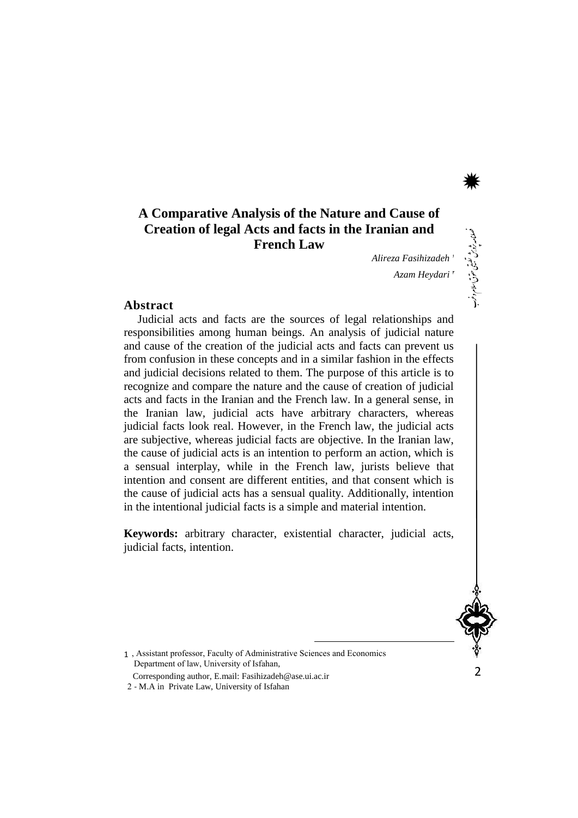# **A Comparative Analysis of the Nature and Cause of Creation of legal Acts and facts in the Iranian and French Law**

*Alireza Fasihizadeh* <sup>1</sup> *Azam Heydari* <sup>2</sup>

ی حقوق اسالم و رغب

\*

#### **Abstract**

Judicial acts and facts are the sources of legal relationships and responsibilities among human beings. An analysis of judicial nature and cause of the creation of the judicial acts and facts can prevent us from confusion in these concepts and in a similar fashion in the effects and judicial decisions related to them. The purpose of this article is to recognize and compare the nature and the cause of creation of judicial acts and facts in the Iranian and the French law. In a general sense, in the Iranian law, judicial acts have arbitrary characters, whereas judicial facts look real. However, in the French law, the judicial acts are subjective, whereas judicial facts are objective. In the Iranian law, the cause of judicial acts is an intention to perform an action, which is a sensual interplay, while in the French law, jurists believe that intention and consent are different entities, and that consent which is the cause of judicial acts has a sensual quality. Additionally, intention in the intentional judicial facts is a simple and material intention.

**Keywords:** arbitrary character, existential character, judicial acts, judicial facts, intention.



, Assistant professor, Faculty of Administrative Sciences and Economics 1Department of law, University of Isfahan, Corresponding author, E.mail: Fasihizadeh@ase.ui.ac.ir

2 - M.A in Private Law, University of Isfahan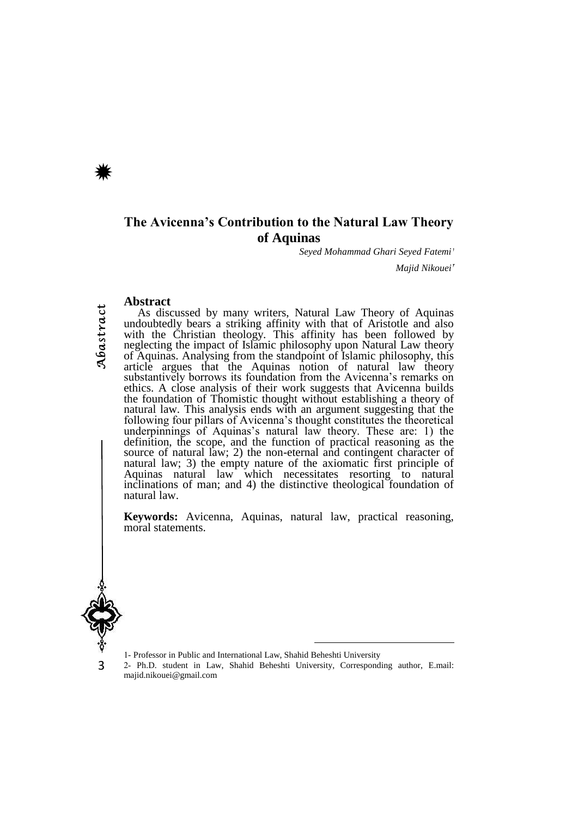### **The Avicenna's Contribution to the Natural Law Theory of Aquinas**

<sup>1</sup> *Seyed Mohammad Ghari Seyed Fatemi*

*Majid Nikouei*<sup>\*</sup>

#### **Abstract**

As discussed by many writers, Natural Law Theory of Aquinas undoubtedly bears a striking affinity with that of Aristotle and also with the Christian theology. This affinity has been followed by neglecting the impact of Islamic philosophy upon Natural Law theory of Aquinas. Analysing from the standpoint of Islamic philosophy, this article argues that the Aquinas notion of natural law theory substantively borrows its foundation from the Avicenna's remarks on ethics. A close analysis of their work suggests that Avicenna builds the foundation of Thomistic thought without establishing a theory of natural law. This analysis ends with an argument suggesting that the following four pillars of Avicenna's thought constitutes the theoretical underpinnings of Aquinas's natural law theory. These are: 1) the definition, the scope, and the function of practical reasoning as the source of natural law; 2) the non-eternal and contingent character of natural law; 3) the empty nature of the axiomatic first principle of Aquinas natural law which necessitates resorting to natural inclinations of man; and 4) the distinctive theological foundation of natural law.

**Keywords:** Avicenna, Aquinas, natural law, practical reasoning, moral statements.



3

1- Professor in Public and International Law, Shahid Beheshti University

2- Ph.D. student in Law, Shahid Beheshti University, Corresponding author, E.mail: [majid.nikouei@gmail.com](mailto:majid.nikouei@gmail.com)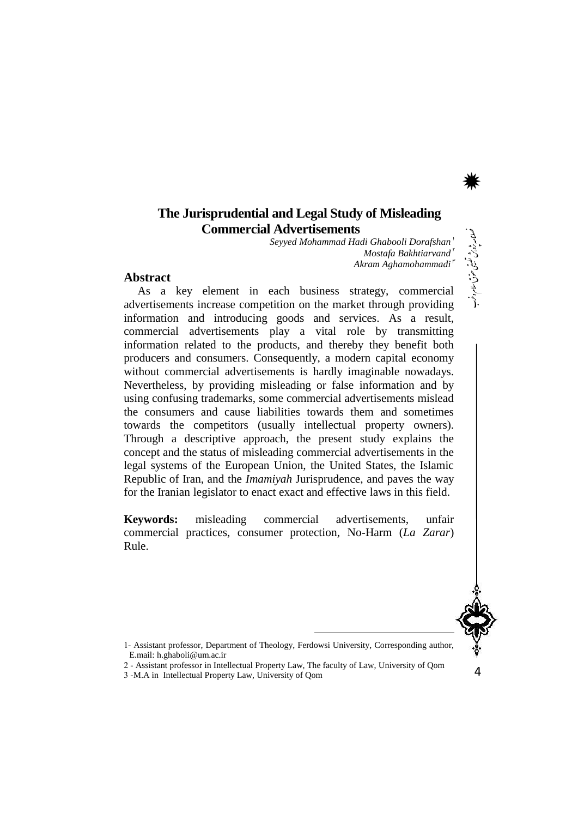### **The Jurisprudential and Legal Study of Misleading Commercial Advertisements**

*Hadi Ghabooli Dorafshan*<sup>1</sup> *Seyyed Mohammad Mostafa Bakhtiarvand* 3 *Akram Aghamohammadi*

#### **Abstract**

As a key element in each business strategy, commercial advertisements increase competition on the market through providing information and introducing goods and services. As a result, commercial advertisements play a vital role by transmitting information related to the products, and thereby they benefit both producers and consumers. Consequently, a modern capital economy without commercial advertisements is hardly imaginable nowadays. Nevertheless, by providing misleading or false information and by using confusing trademarks, some commercial advertisements mislead the consumers and cause liabilities towards them and sometimes towards the competitors (usually intellectual property owners). Through a descriptive approach, the present study explains the concept and the status of misleading commercial advertisements in the legal systems of the European Union, the United States, the Islamic Republic of Iran, and the *Imamiyah* Jurisprudence, and paves the way for the Iranian legislator to enact exact and effective laws in this field.

**Keywords:** misleading commercial advertisements, unfair commercial practices, consumer protection, No-Harm (*La Zarar*) Rule.



ی حقوق اسالم و رغب

\*

- 1- Assistant professor, Department of Theology, Ferdowsi University, Corresponding author, E.mail[: h.ghaboli@um.ac.ir](mailto:h.ghaboli@um.ac.ir)
- 2 Assistant professor in Intellectual Property Law, The faculty of Law, University of Qom
- 3 -M.A in Intellectual Property Law, University of Qom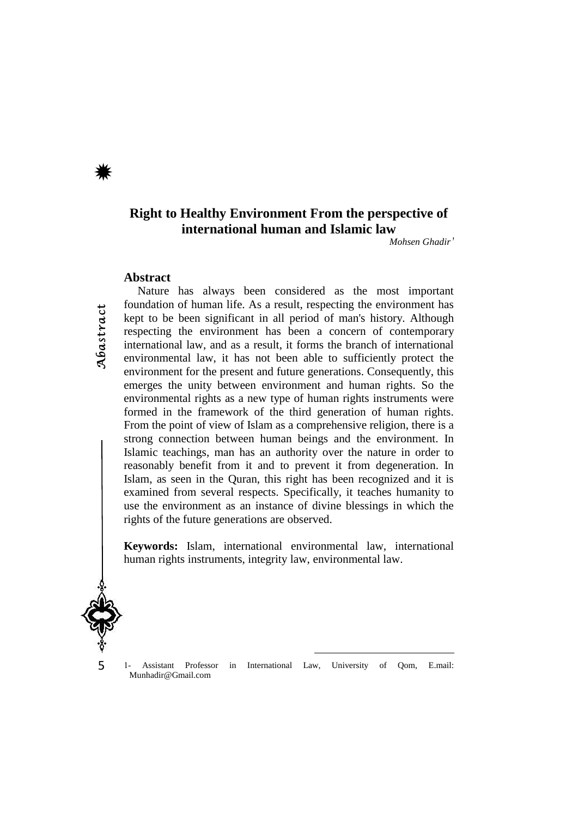### **Right to Healthy Environment From the perspective of international human and Islamic law**

*Mohsen Ghadir***<sup>1</sup>**

#### **Abstract**

Abastract

Nature has always been considered as the most important foundation of human life. As a result, respecting the environment has kept to be been significant in all period of man's history. Although respecting the environment has been a concern of contemporary international law, and as a result, it forms the branch of international environmental law, it has not been able to sufficiently protect the environment for the present and future generations. Consequently, this emerges the unity between environment and human rights. So the environmental rights as a new type of human rights instruments were formed in the framework of the third generation of human rights. From the point of view of Islam as a comprehensive religion, there is a strong connection between human beings and the environment. In Islamic teachings, man has an authority over the nature in order to reasonably benefit from it and to prevent it from degeneration. In Islam, as seen in the Quran, this right has been recognized and it is examined from several respects. Specifically, it teaches humanity to use the environment as an instance of divine blessings in which the rights of the future generations are observed.

**Keywords:** Islam, international environmental law, international human rights instruments, integrity law, environmental law.



5

1- Assistant Professor in International Law, University of Qom, E.mail: Munhadir@Gmail.com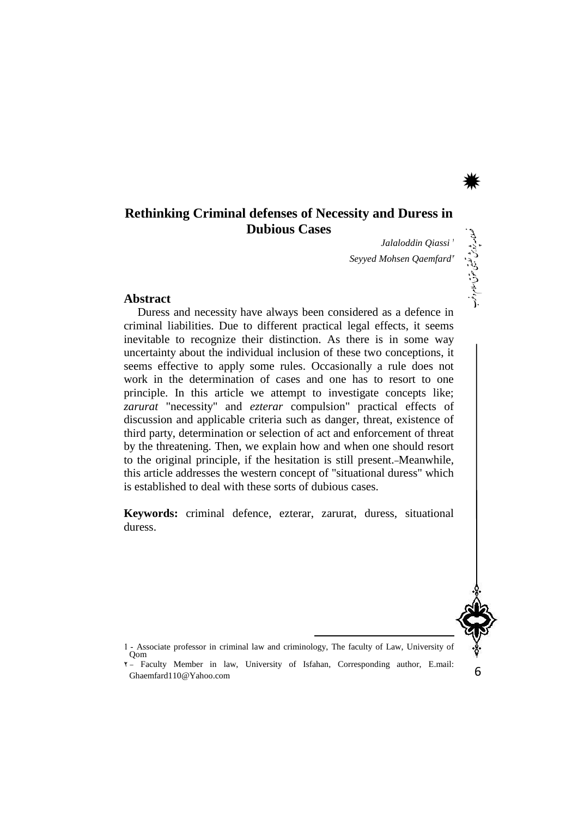### **Rethinking Criminal defenses of Necessity and Duress in Dubious Cases**

*Jalaloddin Qiassi* <sup>1</sup> **Seyyed Mohsen Qaemfard** 

#### **Abstract**

Duress and necessity have always been considered as a defence in criminal liabilities. Due to different practical legal effects, it seems inevitable to recognize their distinction. As there is in some way uncertainty about the individual inclusion of these two conceptions, it seems effective to apply some rules. Occasionally a rule does not work in the determination of cases and one has to resort to one principle. In this article we attempt to investigate concepts like; *zarurat* "necessity" and *ezterar* compulsion" practical effects of discussion and applicable criteria such as danger, threat, existence of third party, determination or selection of act and enforcement of threat by the threatening. Then, we explain how and when one should resort to the original principle, if the hesitation is still present. Meanwhile, this article addresses the western concept of "situational duress" which is established to deal with these sorts of dubious cases.

**Keywords:** criminal defence, ezterar, zarurat, duress, situational duress.



6

ی حقوق اسالم و رغب

\*

1 - Associate professor in criminal law and criminology, The faculty of Law, University of Qom

<sup>2</sup> - Faculty Member in law, University of Isfahan, Corresponding author, E.mail: Ghaemfard110@Yahoo.com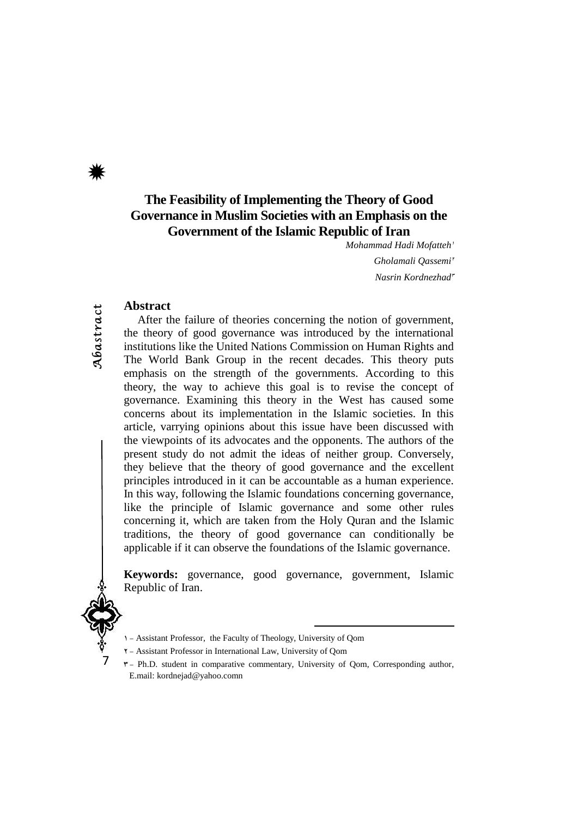Abastract

# **The Feasibility of Implementing the Theory of Good Governance in Muslim Societies with an Emphasis on the Government of the Islamic Republic of Iran**

*Mohammad Hadi Mofatteh<sup>1</sup>* 

Gholamali Oassemi<sup>r</sup>  $Nasrin$ *Kordnezhad*<sup>r</sup>

### **Abstract**

After the failure of theories concerning the notion of government, the theory of good governance was introduced by the international institutions like the United Nations Commission on Human Rights and The World Bank Group in the recent decades. This theory puts emphasis on the strength of the governments. According to this theory, the way to achieve this goal is to revise the concept of governance. Examining this theory in the West has caused some concerns about its implementation in the Islamic societies. In this article, varrying opinions about this issue have been discussed with the viewpoints of its advocates and the opponents. The authors of the present study do not admit the ideas of neither group. Conversely, they believe that the theory of good governance and the excellent principles introduced in it can be accountable as a human experience. In this way, following the Islamic foundations concerning governance, like the principle of Islamic governance and some other rules concerning it, which are taken from the Holy Quran and the Islamic traditions, the theory of good governance can conditionally be applicable if it can observe the foundations of the Islamic governance.

**Keywords:** governance, good governance, government, Islamic Republic of Iran.



7

- 1 Assistant Professor, the Faculty of Theology, University of Qom
- 2 Assistant Professor in International Law, University of Qom
- $\mathbf{v}$  Ph.D. student in comparative commentary, University of Qom, Corresponding author, E.mail: kordnejad@yahoo.comn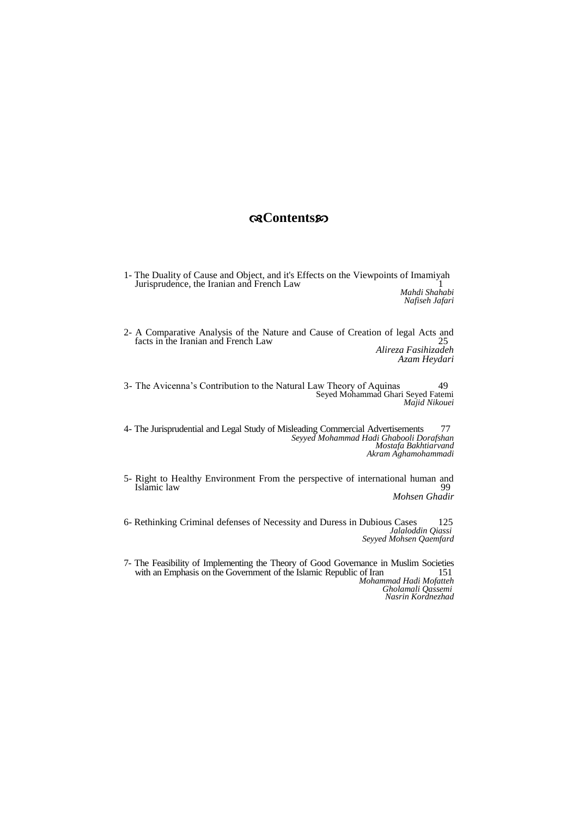### **Contents**

1- The Duality of Cause and Object, and it's Effects on the Viewpoints of Imamiyah Jurisprudence, the Iranian and French Law 1

*Mahdi Shahabi Nafiseh Jafari* 

2- A Comparative Analysis of the Nature and Cause of Creation of legal Acts and facts in the Iranian and French Law 25 *Alireza Fasihizadeh Azam Heydari* 

3- The Avicenna's Contribution to the Natural Law Theory of Aquinas 49 Seyed Mohammad Ghari Seyed Fatemi *Majid Nikouei* 

4- The Jurisprudential and Legal Study of Misleading Commercial Advertisements 77 *Seyyed Mohammad Hadi Ghabooli Dorafshan Mostafa Bakhtiarvand Akram Aghamohammadi* 

5- Right to Healthy Environment From the perspective of international human and<br>Islamic law Islamic law

*Mohsen Ghadir* 

6- Rethinking Criminal defenses of Necessity and Duress in Dubious Cases 125 *Jalaloddin Qiassi Seyyed Mohsen Qaemfard* 

7- The Feasibility of Implementing the Theory of Good Governance in Muslim Societies with an Emphasis on the Government of the Islamic Republic of Iran  *Mohammad Hadi Mofatteh Gholamali Qassemi Nasrin Kordnezhad*